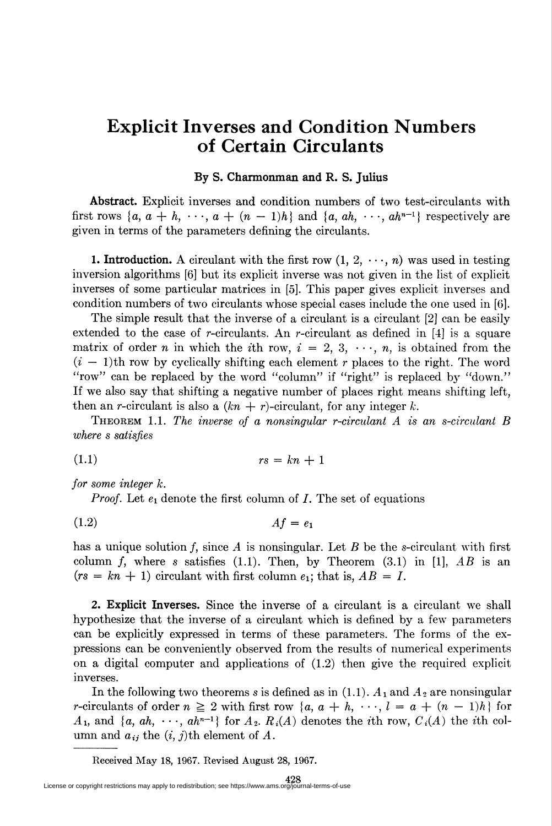## Explicit Inverses and Condition Numbers of Certain Circulants

## By S. Charmonman and R. S. Julius

Abstract. Explicit inverses and condition numbers of two test-circulants with first rows  $\{a, a + h, \dots, a + (n - 1)h\}$  and  $\{a, ah, \dots, ah^{n-1}\}$  respectively are given in terms of the parameters defining the circulants.

1. Introduction. A circulant with the first row  $(1, 2, \dots, n)$  was used in testing inversion algorithms [6] but its explicit inverse was not given in the list of explicit inverses of some particular matrices in [5]. This paper gives explicit inverses and condition numbers of two circulants whose special cases include the one used in [6].

The simple result that the inverse of a circulant is a circulant [2] can be easily extended to the case of r-circulants. An r-circulant as defined in  $[4]$  is a square matrix of order n in which the *i*th row,  $i = 2, 3, \dots, n$ , is obtained from the  $(i - 1)$ th row by cyclically shifting each element r places to the right. The word "row" can be replaced by the word "column" if "right" is replaced by "down." If we also say that shifting a negative number of places right means shifting left, then an *r*-circulant is also a  $(kn + r)$ -circulant, for any integer k.

THEOREM 1.1. The inverse of a nonsingular r-circulant  $A$  is an s-circulant  $B$ where s satisfies

$$
(1.1) \t\t rs = kn + 1
$$

for some integer k.

*Proof.* Let  $e_1$  denote the first column of  $I$ . The set of equations

$$
(1.2) \t\t\t Af = e_1
$$

has a unique solution f, since A is nonsingular. Let B be the s-circulant with first column f, where s satisfies (1.1). Then, by Theorem (3.1) in [1],  $AB$  is an  $(rs = kn + 1)$  circulant with first column  $e_1$ ; that is,  $AB = I$ .

2. Explicit Inverses. Since the inverse of a circulant is a circulant we shall hypothesize that the inverse of a circulant which is defined by a few parameters can be explicitly expressed in terms of these parameters. The forms of the expressions can be conveniently observed from the results of numerical experiments on a digital computer and applications of (1.2) then give the required explicit inverses.

In the following two theorems s is defined as in  $(1.1)$ .  $A_1$  and  $A_2$  are nonsingular r-circulants of order  $n \geq 2$  with first row  ${a, a + h, \dots, l = a + (n - 1)h}$  for  $A_1$ , and  $\{a, ah, \dots, ah^{n-1}\}\$  for  $A_2$ .  $R_i(A)$  denotes the *i*th row,  $C_i(A)$  the *i*th column and  $a_{ij}$  the  $(i, j)$ th element of A.

Received May 18, 1967. Revised August 28, 1967.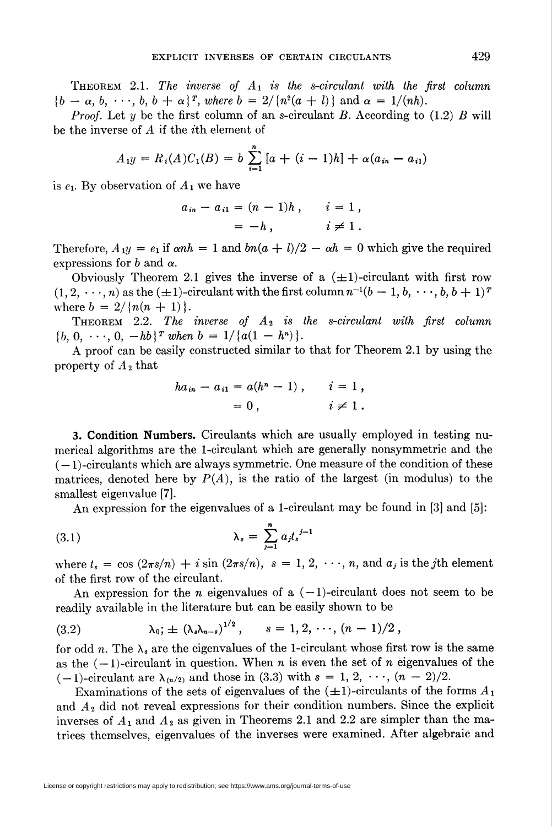THEOREM 2.1. The inverse of  $A_1$  is the s-circulant with the first column  ${b - \alpha, b, \dots, b, b + \alpha}^T$ , where  $b = 2/\{n^2(a + l)\}\$  and  $\alpha = 1/(nh)$ .

*Proof.* Let y be the first column of an s-circulant B. According to (1.2) B will be the inverse of  $A$  if the *i*th element of

$$
A_1y = R_i(A)C_1(B) = b \sum_{i=1}^{n} [a + (i-1)h] + \alpha(a_{in} - a_{i1})
$$

is  $e_1$ . By observation of  $A_1$  we have

$$
a_{in} - a_{i1} = (n - 1)h
$$
,  $i = 1$ ,  
= -h,  $i \neq 1$ .

Therefore,  $A_1y = e_1$  if  $\alpha nh = 1$  and  $bn(a + l)/2 - \alpha h = 0$  which give the required expressions for b and  $\alpha$ .

Obviously Theorem 2.1 gives the inverse of a  $(\pm 1)$ -circulant with first row  $(1,2,\dots,n)$  as the  $(\pm 1)$ -circulant with the first column  $n^{-1}(b-1,b,\dots,b,b+1)^T$ where  $b = 2/\{n(n+1)\}.$ 

THEOREM 2.2. The inverse of  $A_2$  is the s-circulant with first column  ${b, 0, \cdots, 0, -hb}^T$  when  $b = 1/{a(1 - h^n)}$ .

A proof can be easily constructed similar to that for Theorem 2.1 by using the property of  $A_2$  that

$$
ha_{in} - a_{i1} = a(h^{n} - 1), \quad i = 1,
$$
  
= 0, \quad i \neq 1.

3. Condition Numbers. Circulants which are usually employed in testing numerical algorithms are the 1-circulant which are generally nonsymmetric and the  $(-1)$ -circulants which are always symmetric. One measure of the condition of these matrices, denoted here by  $P(A)$ , is the ratio of the largest (in modulus) to the smallest eigenvalue [7].

An expression for the eigenvalues of a 1-circulant may be found in [3] and [5]:

(3.1) 
$$
\lambda_s = \sum_{j=1}^n a_j t_s^{j-1}
$$

where  $t_s = \cos (2\pi s/n) + i \sin (2\pi s/n)$ ,  $s = 1, 2, \dots, n$ , and  $a_j$  is the *j*th element of the first row of the circulant.

An expression for the *n* eigenvalues of a  $(-1)$ -circulant does not seem to be readily available in the literature but can be easily shown to be

(3.2) 
$$
\lambda_0: \pm (\lambda_s \lambda_{n-s})^{1/2}, \quad s = 1, 2, \cdots, (n-1)/2,
$$

for odd n. The  $\lambda_s$  are the eigenvalues of the 1-circulant whose first row is the same as the  $(-1)$ -circulant in question. When n is even the set of n eigenvalues of the  $(-1)$ -circulant are  $\lambda_{(n/2)}$  and those in (3.3) with  $s = 1, 2, \dots, (n-2)/2$ .

Examinations of the sets of eigenvalues of the  $(\pm 1)$ -circulants of the forms  $A_1$ and  $A_2$  did not reveal expressions for their condition numbers. Since the explicit inverses of  $A_1$  and  $A_2$  as given in Theorems 2.1 and 2.2 are simpler than the matrices themselves, eigenvalues of the inverses were examined. After algebraic and